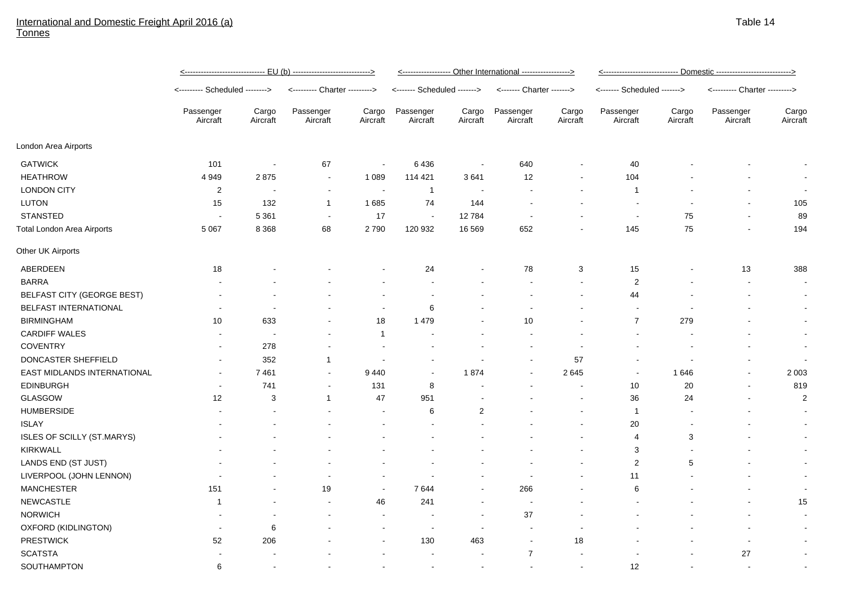## International and Domestic Freight April 2016 (a) **Tonnes**

|                                   | <u>&lt;------------------------------ EU (b) ----------------------------&gt;</u> |                   |                               |                          | <------------------ Other International ------------------> |                   |                           |                   | <u>&lt;--------------------------- Domestic ---------------------------&gt;</u> |                   |                               |                   |
|-----------------------------------|-----------------------------------------------------------------------------------|-------------------|-------------------------------|--------------------------|-------------------------------------------------------------|-------------------|---------------------------|-------------------|---------------------------------------------------------------------------------|-------------------|-------------------------------|-------------------|
|                                   | <-------- Scheduled -------->                                                     |                   | <--------- Charter ---------> |                          | <------- Scheduled ------->                                 |                   | <------- Charter -------> |                   | <------- Scheduled ------->                                                     |                   | <--------- Charter ---------> |                   |
|                                   | Passenger<br>Aircraft                                                             | Cargo<br>Aircraft | Passenger<br>Aircraft         | Cargo<br>Aircraft        | Passenger<br>Aircraft                                       | Cargo<br>Aircraft | Passenger<br>Aircraft     | Cargo<br>Aircraft | Passenger<br>Aircraft                                                           | Cargo<br>Aircraft | Passenger<br>Aircraft         | Cargo<br>Aircraft |
| London Area Airports              |                                                                                   |                   |                               |                          |                                                             |                   |                           |                   |                                                                                 |                   |                               |                   |
| <b>GATWICK</b>                    | 101                                                                               | $\sim$            | 67                            | $\overline{\phantom{a}}$ | 6436                                                        |                   | 640                       | $\blacksquare$    | 40                                                                              |                   |                               |                   |
| <b>HEATHROW</b>                   | 4 9 4 9                                                                           | 2875              | $\blacksquare$                | 1 0 8 9                  | 114 421                                                     | 3641              | 12                        | $\blacksquare$    | 104                                                                             |                   |                               | $\sim$            |
| <b>LONDON CITY</b>                | 2                                                                                 | $\sim$            | $\blacksquare$                | $\overline{\phantom{a}}$ | 1                                                           |                   |                           |                   | $\mathbf{1}$                                                                    |                   |                               |                   |
| <b>LUTON</b>                      | 15                                                                                | 132               | $\mathbf{1}$                  | 1685                     | 74                                                          | 144               |                           |                   | $\overline{\phantom{a}}$                                                        |                   |                               | 105               |
| <b>STANSTED</b>                   |                                                                                   | 5 3 6 1           |                               | 17                       | $\overline{\phantom{a}}$                                    | 12784             |                           |                   | $\overline{\phantom{a}}$                                                        | 75                |                               | 89                |
| <b>Total London Area Airports</b> | 5 0 6 7                                                                           | 8 3 6 8           | 68                            | 2790                     | 120 932                                                     | 16 5 69           | 652                       |                   | 145                                                                             | 75                |                               | 194               |
| Other UK Airports                 |                                                                                   |                   |                               |                          |                                                             |                   |                           |                   |                                                                                 |                   |                               |                   |
| ABERDEEN                          | 18                                                                                |                   |                               |                          | 24                                                          |                   | 78                        | 3                 | 15                                                                              |                   | 13                            | 388               |
| <b>BARRA</b>                      |                                                                                   |                   |                               |                          | $\overline{a}$                                              |                   |                           | $\blacksquare$    | $\sqrt{2}$                                                                      |                   | $\overline{\phantom{a}}$      | $\sim$            |
| <b>BELFAST CITY (GEORGE BEST)</b> |                                                                                   |                   |                               | $\overline{\phantom{a}}$ |                                                             |                   |                           |                   | 44                                                                              |                   |                               | $\sim$            |
| BELFAST INTERNATIONAL             |                                                                                   | ۰.                |                               | $\blacksquare$           | 6                                                           |                   | ٠                         |                   | $\overline{\phantom{a}}$                                                        |                   |                               | $\sim$            |
| <b>BIRMINGHAM</b>                 | 10                                                                                | 633               |                               | 18                       | 1479                                                        |                   | 10                        |                   | $\overline{7}$                                                                  | 279               |                               | $\sim$            |
| <b>CARDIFF WALES</b>              |                                                                                   |                   |                               | $\overline{1}$           |                                                             |                   |                           |                   |                                                                                 |                   |                               |                   |
| <b>COVENTRY</b>                   |                                                                                   | 278               |                               | $\overline{\phantom{a}}$ |                                                             |                   |                           |                   |                                                                                 |                   |                               | $\sim$            |
| DONCASTER SHEFFIELD               |                                                                                   | 352               | $\mathbf 1$                   |                          | $\blacksquare$                                              |                   |                           | 57                | $\blacksquare$                                                                  |                   |                               | $\sim$            |
| EAST MIDLANDS INTERNATIONAL       |                                                                                   | 7461              | $\blacksquare$                | 9440                     | $\blacksquare$                                              | 1874              | $\overline{a}$            | 2645              | $\blacksquare$                                                                  | 1646              |                               | 2 0 0 3           |
| <b>EDINBURGH</b>                  |                                                                                   | 741               |                               | 131                      | 8                                                           |                   |                           |                   | 10                                                                              | 20                |                               | 819               |
| <b>GLASGOW</b>                    | 12                                                                                | 3                 | $\mathbf 1$                   | 47                       | 951                                                         |                   |                           |                   | 36                                                                              | 24                |                               | $\overline{c}$    |
| <b>HUMBERSIDE</b>                 |                                                                                   |                   |                               |                          | 6                                                           | $\mathbf{2}$      |                           |                   | $\mathbf{1}$                                                                    |                   |                               |                   |
| <b>ISLAY</b>                      |                                                                                   |                   |                               |                          |                                                             |                   |                           |                   | 20                                                                              |                   |                               |                   |
| <b>ISLES OF SCILLY (ST.MARYS)</b> |                                                                                   |                   |                               |                          |                                                             |                   |                           |                   | $\overline{4}$                                                                  | 3                 |                               | $\sim$            |
| <b>KIRKWALL</b>                   |                                                                                   |                   |                               |                          |                                                             |                   |                           |                   | 3                                                                               |                   |                               | $\sim$            |
| LANDS END (ST JUST)               |                                                                                   |                   |                               |                          |                                                             |                   |                           |                   | $\sqrt{2}$                                                                      | 5                 |                               | $\sim$            |
| LIVERPOOL (JOHN LENNON)           |                                                                                   |                   |                               | $\overline{\phantom{a}}$ |                                                             |                   |                           |                   | 11                                                                              |                   |                               | $\sim$            |
| <b>MANCHESTER</b>                 | 151                                                                               |                   | 19                            | $\sim$                   | 7644                                                        |                   | 266                       |                   | $\,6\,$                                                                         |                   |                               | $\sim$            |
| <b>NEWCASTLE</b>                  | -1                                                                                |                   |                               | 46                       | 241                                                         |                   |                           |                   |                                                                                 |                   |                               | 15                |
| <b>NORWICH</b>                    |                                                                                   |                   |                               | $\overline{\phantom{a}}$ |                                                             |                   | 37                        |                   |                                                                                 |                   |                               | $\sim$            |
| OXFORD (KIDLINGTON)               |                                                                                   | 6                 |                               | $\overline{\phantom{a}}$ | $\overline{\phantom{a}}$                                    |                   | $\sim$                    |                   |                                                                                 |                   |                               | $\sim$            |
| <b>PRESTWICK</b>                  | 52                                                                                | 206               |                               | $\sim$                   | 130                                                         | 463               | $\blacksquare$            | 18                |                                                                                 |                   |                               | $\sim$            |
| <b>SCATSTA</b>                    |                                                                                   |                   |                               |                          |                                                             |                   | $\overline{7}$            |                   |                                                                                 |                   | 27                            | $\sim$            |
| SOUTHAMPTON                       | 6                                                                                 |                   |                               |                          | $\sim$                                                      |                   |                           |                   | 12                                                                              |                   |                               | $\sim$            |